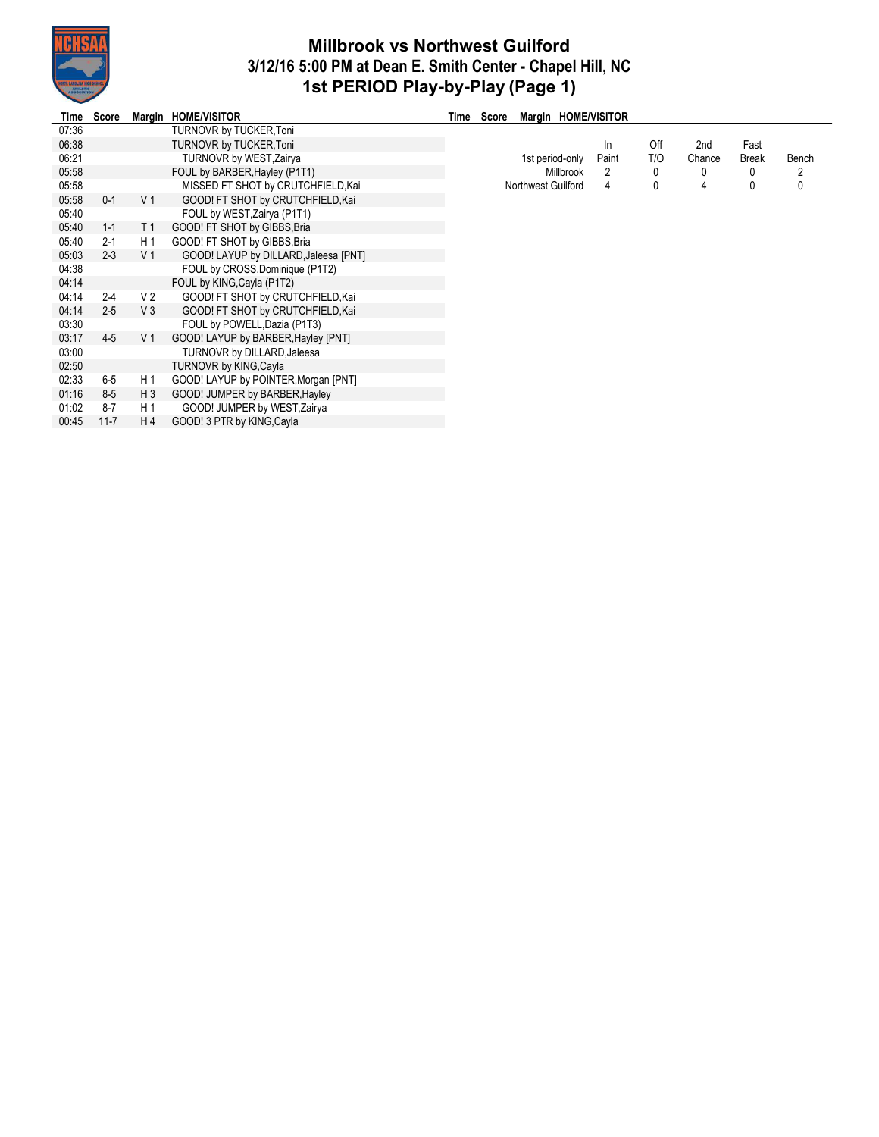

## **Millbrook vs Northwest Guilford 3/12/16 5:00 PM at Dean E. Smith Center - Chapel Hill, NC 1st PERIOD Play-by-Play (Page 1)**

÷,

| Time  | Score    |                | Margin HOME/VISITOR                   | Time | Score | Margin HOME/VISITOR |       |     |        |       |       |
|-------|----------|----------------|---------------------------------------|------|-------|---------------------|-------|-----|--------|-------|-------|
| 07:36 |          |                | TURNOVR by TUCKER, Toni               |      |       |                     |       |     |        |       |       |
| 06:38 |          |                | <b>TURNOVR by TUCKER, Toni</b>        |      |       |                     | In.   | Off | 2nd    | Fast  |       |
| 06:21 |          |                | <b>TURNOVR by WEST, Zairya</b>        |      |       | 1st period-only     | Paint | T/O | Chance | Break | Bench |
| 05:58 |          |                | FOUL by BARBER, Hayley (P1T1)         |      |       | <b>Millbrook</b>    | 2     | 0   | 0      | 0     | 2     |
| 05:58 |          |                | MISSED FT SHOT by CRUTCHFIELD, Kai    |      |       | Northwest Guilford  | 4     | 0   |        | 0     | 0     |
| 05:58 | $0 - 1$  | V <sub>1</sub> | GOOD! FT SHOT by CRUTCHFIELD, Kai     |      |       |                     |       |     |        |       |       |
| 05:40 |          |                | FOUL by WEST, Zairya (P1T1)           |      |       |                     |       |     |        |       |       |
| 05:40 | $1 - 1$  | T 1            | GOOD! FT SHOT by GIBBS, Bria          |      |       |                     |       |     |        |       |       |
| 05:40 | $2 - 1$  | H 1            | GOOD! FT SHOT by GIBBS, Bria          |      |       |                     |       |     |        |       |       |
| 05:03 | $2 - 3$  | V <sub>1</sub> | GOOD! LAYUP by DILLARD, Jaleesa [PNT] |      |       |                     |       |     |        |       |       |
| 04:38 |          |                | FOUL by CROSS, Dominique (P1T2)       |      |       |                     |       |     |        |       |       |
| 04:14 |          |                | FOUL by KING, Cayla (P1T2)            |      |       |                     |       |     |        |       |       |
| 04:14 | $2 - 4$  | V <sub>2</sub> | GOOD! FT SHOT by CRUTCHFIELD, Kai     |      |       |                     |       |     |        |       |       |
| 04:14 | $2 - 5$  | V3             | GOOD! FT SHOT by CRUTCHFIELD, Kai     |      |       |                     |       |     |        |       |       |
| 03:30 |          |                | FOUL by POWELL, Dazia (P1T3)          |      |       |                     |       |     |        |       |       |
| 03:17 | $4 - 5$  | V <sub>1</sub> | GOOD! LAYUP by BARBER, Hayley [PNT]   |      |       |                     |       |     |        |       |       |
| 03:00 |          |                | TURNOVR by DILLARD, Jaleesa           |      |       |                     |       |     |        |       |       |
| 02:50 |          |                | TURNOVR by KING, Cayla                |      |       |                     |       |     |        |       |       |
| 02:33 | 6-5      | H 1            | GOOD! LAYUP by POINTER, Morgan [PNT]  |      |       |                     |       |     |        |       |       |
| 01:16 | 8-5      | H <sub>3</sub> | GOOD! JUMPER by BARBER, Hayley        |      |       |                     |       |     |        |       |       |
| 01:02 | $8-7$    | H 1            | GOOD! JUMPER by WEST, Zairya          |      |       |                     |       |     |        |       |       |
| 00:45 | $11 - 7$ | H <sub>4</sub> | GOOD! 3 PTR by KING, Cayla            |      |       |                     |       |     |        |       |       |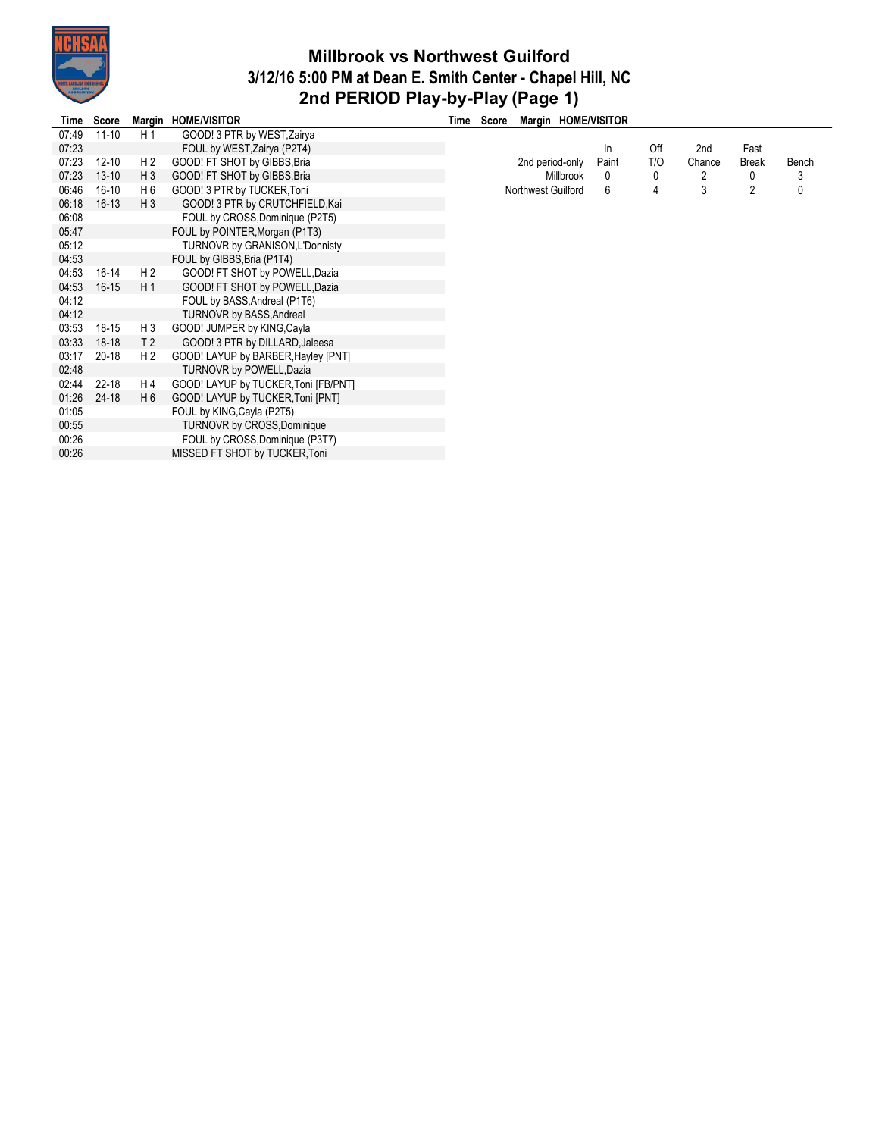

## **Millbrook vs Northwest Guilford 3/12/16 5:00 PM at Dean E. Smith Center - Chapel Hill, NC 2nd PERIOD Play-by-Play (Page 1)**

| Time  | Score     |                | Margin HOME/VISITOR                  | Time | Score | Margin HOME/VISITOR |           |              |     |        |                |              |
|-------|-----------|----------------|--------------------------------------|------|-------|---------------------|-----------|--------------|-----|--------|----------------|--------------|
| 07:49 | $11 - 10$ | H 1            | GOOD! 3 PTR by WEST, Zairya          |      |       |                     |           |              |     |        |                |              |
| 07:23 |           |                | FOUL by WEST, Zairya (P2T4)          |      |       |                     |           | ln           | Off | 2nd    | Fast           |              |
| 07:23 | $12 - 10$ | H 2            | GOOD! FT SHOT by GIBBS, Bria         |      |       | 2nd period-only     |           | Paint        | T/O | Chance | Break          | Bench        |
| 07:23 | $13 - 10$ | H <sub>3</sub> | GOOD! FT SHOT by GIBBS, Bria         |      |       |                     | Millbrook | $\mathbf{0}$ | 0   | 2      | 0              | 3            |
| 06:46 | $16 - 10$ | H 6            | GOOD! 3 PTR by TUCKER, Toni          |      |       | Northwest Guilford  |           | 6            | 4   | 3      | $\overline{2}$ | $\mathbf{0}$ |
| 06:18 | $16-13$   | H <sub>3</sub> | GOOD! 3 PTR by CRUTCHFIELD, Kai      |      |       |                     |           |              |     |        |                |              |
| 06:08 |           |                | FOUL by CROSS, Dominique (P2T5)      |      |       |                     |           |              |     |        |                |              |
| 05:47 |           |                | FOUL by POINTER, Morgan (P1T3)       |      |       |                     |           |              |     |        |                |              |
| 05:12 |           |                | TURNOVR by GRANISON, L'Donnisty      |      |       |                     |           |              |     |        |                |              |
| 04:53 |           |                | FOUL by GIBBS, Bria (P1T4)           |      |       |                     |           |              |     |        |                |              |
| 04:53 | 16-14     | H 2            | GOOD! FT SHOT by POWELL, Dazia       |      |       |                     |           |              |     |        |                |              |
| 04:53 | $16 - 15$ | H1             | GOOD! FT SHOT by POWELL, Dazia       |      |       |                     |           |              |     |        |                |              |
| 04:12 |           |                | FOUL by BASS, Andreal (P1T6)         |      |       |                     |           |              |     |        |                |              |
| 04:12 |           |                | <b>TURNOVR by BASS, Andreal</b>      |      |       |                     |           |              |     |        |                |              |
| 03:53 | 18-15     | H <sub>3</sub> | GOOD! JUMPER by KING, Cayla          |      |       |                     |           |              |     |        |                |              |
| 03:33 | $18-18$   | T <sub>2</sub> | GOOD! 3 PTR by DILLARD, Jaleesa      |      |       |                     |           |              |     |        |                |              |
| 03:17 | 20-18     | H 2            | GOOD! LAYUP by BARBER, Hayley [PNT]  |      |       |                     |           |              |     |        |                |              |
| 02:48 |           |                | TURNOVR by POWELL, Dazia             |      |       |                     |           |              |     |        |                |              |
| 02:44 | $22 - 18$ | H 4            | GOOD! LAYUP by TUCKER, Toni [FB/PNT] |      |       |                     |           |              |     |        |                |              |
| 01:26 | 24-18     | H 6            | GOOD! LAYUP by TUCKER, Toni [PNT]    |      |       |                     |           |              |     |        |                |              |
| 01:05 |           |                | FOUL by KING, Cayla (P2T5)           |      |       |                     |           |              |     |        |                |              |
| 00:55 |           |                | <b>TURNOVR by CROSS, Dominique</b>   |      |       |                     |           |              |     |        |                |              |
| 00:26 |           |                | FOUL by CROSS, Dominique (P3T7)      |      |       |                     |           |              |     |        |                |              |
| 00:26 |           |                | MISSED FT SHOT by TUCKER Toni        |      |       |                     |           |              |     |        |                |              |
|       |           |                |                                      |      |       |                     |           |              |     |        |                |              |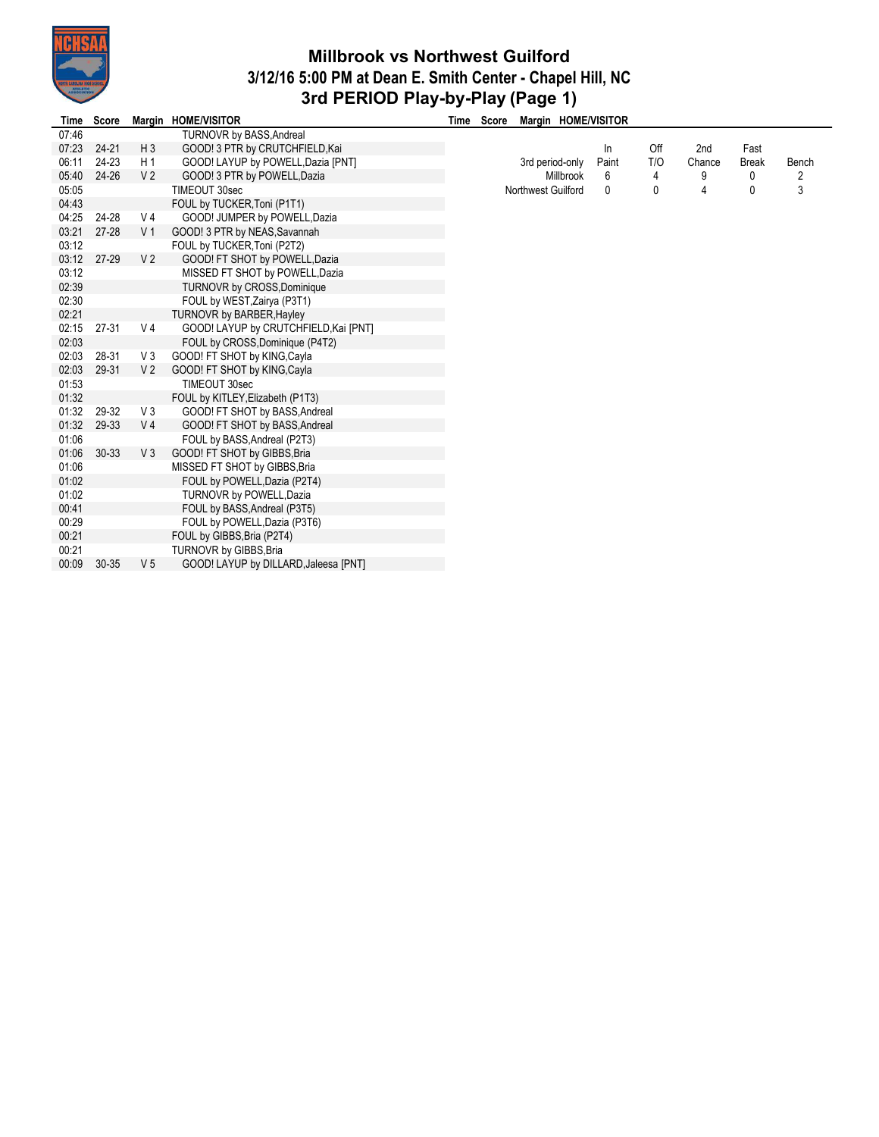

## **Millbrook vs Northwest Guilford 3/12/16 5:00 PM at Dean E. Smith Center - Chapel Hill, NC 3rd PERIOD Play-by-Play (Page 1)**

| <b>Time</b> | <b>Score</b> |                | Margin HOME/VISITOR                   | Time | Score |                    |                  | Margin HOME/VISITOR |     |        |              |       |
|-------------|--------------|----------------|---------------------------------------|------|-------|--------------------|------------------|---------------------|-----|--------|--------------|-------|
| 07:46       |              |                | TURNOVR by BASS, Andreal              |      |       |                    |                  |                     |     |        |              |       |
| 07:23       | $24 - 21$    | $H_3$          | GOOD! 3 PTR by CRUTCHFIELD, Kai       |      |       |                    |                  | In                  | Off | 2nd    | Fast         |       |
| 06:11       | $24 - 23$    | H 1            | GOOD! LAYUP by POWELL, Dazia [PNT]    |      |       | 3rd period-only    |                  | Paint               | T/O | Chance | <b>Break</b> | Bench |
| 05:40       | $24 - 26$    | V <sub>2</sub> | GOOD! 3 PTR by POWELL, Dazia          |      |       |                    | <b>Millbrook</b> | 6                   | 4   | 9      | 0            | 2     |
| 05:05       |              |                | TIMEOUT 30sec                         |      |       | Northwest Guilford |                  | 0                   | 0   | 4      | 0            | 3     |
| 04:43       |              |                | FOUL by TUCKER, Toni (P1T1)           |      |       |                    |                  |                     |     |        |              |       |
| 04:25       | 24-28        | V <sub>4</sub> | GOOD! JUMPER by POWELL, Dazia         |      |       |                    |                  |                     |     |        |              |       |
| 03:21       | 27-28        | V <sub>1</sub> | GOOD! 3 PTR by NEAS, Savannah         |      |       |                    |                  |                     |     |        |              |       |
| 03:12       |              |                | FOUL by TUCKER, Toni (P2T2)           |      |       |                    |                  |                     |     |        |              |       |
| 03:12       | 27-29        | V <sub>2</sub> | GOOD! FT SHOT by POWELL, Dazia        |      |       |                    |                  |                     |     |        |              |       |
| 03:12       |              |                | MISSED FT SHOT by POWELL, Dazia       |      |       |                    |                  |                     |     |        |              |       |
| 02:39       |              |                | <b>TURNOVR by CROSS, Dominique</b>    |      |       |                    |                  |                     |     |        |              |       |
| 02:30       |              |                | FOUL by WEST, Zairya (P3T1)           |      |       |                    |                  |                     |     |        |              |       |
| 02:21       |              |                | <b>TURNOVR by BARBER, Hayley</b>      |      |       |                    |                  |                     |     |        |              |       |
| 02:15       | $27 - 31$    | V <sub>4</sub> | GOOD! LAYUP by CRUTCHFIELD, Kai [PNT] |      |       |                    |                  |                     |     |        |              |       |
| 02:03       |              |                | FOUL by CROSS, Dominique (P4T2)       |      |       |                    |                  |                     |     |        |              |       |
| 02:03       | 28-31        | V <sub>3</sub> | GOOD! FT SHOT by KING, Cayla          |      |       |                    |                  |                     |     |        |              |       |
| 02:03       | 29-31        | V <sub>2</sub> | GOOD! FT SHOT by KING, Cayla          |      |       |                    |                  |                     |     |        |              |       |
| 01:53       |              |                | TIMEOUT 30sec                         |      |       |                    |                  |                     |     |        |              |       |
| 01:32       |              |                | FOUL by KITLEY, Elizabeth (P1T3)      |      |       |                    |                  |                     |     |        |              |       |
| 01:32       | 29-32        | V3             | GOOD! FT SHOT by BASS, Andreal        |      |       |                    |                  |                     |     |        |              |       |
| 01:32       | 29-33        | V <sub>4</sub> | GOOD! FT SHOT by BASS, Andreal        |      |       |                    |                  |                     |     |        |              |       |
| 01:06       |              |                | FOUL by BASS, Andreal (P2T3)          |      |       |                    |                  |                     |     |        |              |       |
| 01:06       | $30 - 33$    | V <sub>3</sub> | GOOD! FT SHOT by GIBBS, Bria          |      |       |                    |                  |                     |     |        |              |       |
| 01:06       |              |                | MISSED FT SHOT by GIBBS, Bria         |      |       |                    |                  |                     |     |        |              |       |
| 01:02       |              |                | FOUL by POWELL, Dazia (P2T4)          |      |       |                    |                  |                     |     |        |              |       |
| 01:02       |              |                | TURNOVR by POWELL, Dazia              |      |       |                    |                  |                     |     |        |              |       |
| 00:41       |              |                | FOUL by BASS, Andreal (P3T5)          |      |       |                    |                  |                     |     |        |              |       |
| 00:29       |              |                | FOUL by POWELL, Dazia (P3T6)          |      |       |                    |                  |                     |     |        |              |       |
| 00:21       |              |                | FOUL by GIBBS, Bria (P2T4)            |      |       |                    |                  |                     |     |        |              |       |
| 00:21       |              |                | TURNOVR by GIBBS, Bria                |      |       |                    |                  |                     |     |        |              |       |
| 00:09       | $30 - 35$    | V <sub>5</sub> | GOOD! LAYUP by DILLARD, Jaleesa [PNT] |      |       |                    |                  |                     |     |        |              |       |